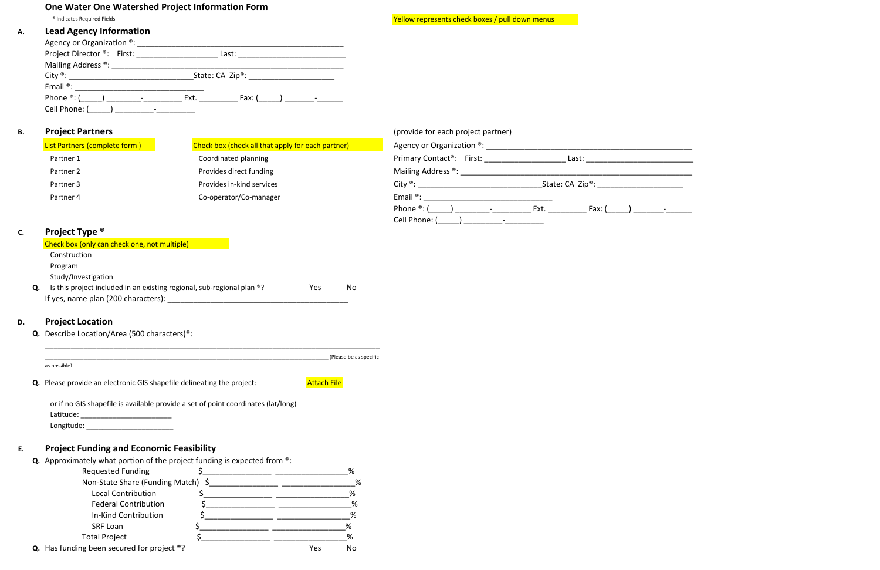# **One Water One Watershed Project Information Form**

® Indicates Required Fields Yellow

#### **A.Lead Agency Information**

## **B.Project Partners**

| Agency or Organization ®:<br>Project Director <sup>®</sup> : First: | Last:                          |  |
|---------------------------------------------------------------------|--------------------------------|--|
| Mailing Address ®:                                                  |                                |  |
|                                                                     | State: $CA$ Zip <sup>®</sup> : |  |
| Email $^{\circ}$ :                                                  |                                |  |
| Phone ®: (                                                          | Ext.<br>Fax: ( )               |  |
| Cell Phone: (                                                       |                                |  |

|                                       | (provide for each project partner)                  |  |
|---------------------------------------|-----------------------------------------------------|--|
| heck all that apply for each partner) | Agency or Organization ®:                           |  |
| d planning                            | Primary Contact <sup>®</sup> : First:<br>Last:      |  |
| rect funding                          | Mailing Address ®:                                  |  |
| -kind services                        | City $^{\circ}$ :<br>State: $CA$ Zip <sup>®</sup> : |  |
| r/Co-manager                          | Email $^{\circ}$ :                                  |  |
|                                       | Phone $\mathscr{D}$ : (<br>Ext.<br>Fax: $($         |  |
|                                       | Cell Phone:                                         |  |

| List Partners (complete form) | Check box (check all that apply for each partner) | Agency or Organization <sup>®</sup> : |                                |  |
|-------------------------------|---------------------------------------------------|---------------------------------------|--------------------------------|--|
| Partner 1                     | Coordinated planning                              | Primary Contact <sup>®</sup> : First: | Last:                          |  |
| Partner 2                     | Provides direct funding                           | Mailing Address ®:                    |                                |  |
| Partner 3                     | Provides in-kind services                         | City $^{\circledR}$ :                 | State: $CA$ Zip <sup>®</sup> : |  |
| Partner 4                     | Co-operator/Co-manager                            | Email $\mathbf{e}$ :                  |                                |  |

®: (\_\_\_\_\_) \_\_\_\_\_\_\_\_‐\_\_\_\_\_\_\_\_\_ Ext. \_\_\_\_\_\_\_\_\_ Fax: (\_\_\_\_\_) \_\_\_\_\_\_\_‐\_\_\_\_\_\_

# **C.Project Type ®**

## **D.Project Location**

#### **E.Project Funding and Economic Feasibility**

**Q.** Describe Location/Area (500 characters)®:

| <b>Q.</b> Please provide an electronic GIS shapefile delineating the project: | <b>Attach File</b>                                                                              |
|-------------------------------------------------------------------------------|-------------------------------------------------------------------------------------------------|
|                                                                               |                                                                                                 |
|                                                                               |                                                                                                 |
| Latitude:                                                                     | or if no GIS shapefile is available provide a set of point coordinates (lat/long)<br>Longitude: |

|    | Check box (only can check one, not multiple)                           |     |    |
|----|------------------------------------------------------------------------|-----|----|
|    | Construction                                                           |     |    |
|    | Program                                                                |     |    |
|    | Study/Investigation                                                    |     |    |
| Q. | Is this project included in an existing regional, sub-regional plan ®? | Yes | Nο |
|    | If yes, name plan (200 characters):                                    |     |    |

| <b>Q.</b> Approximately what portion of the project funding is expected from $\textdegree$ . |     |    |
|----------------------------------------------------------------------------------------------|-----|----|
| <b>Requested Funding</b>                                                                     |     | %  |
| Non-State Share (Funding Match) \$                                                           |     | %  |
| <b>Local Contribution</b>                                                                    |     | %  |
| <b>Federal Contribution</b>                                                                  |     | %  |
| In-Kind Contribution                                                                         |     | %  |
| SRF Loan                                                                                     |     | %  |
| <b>Total Project</b>                                                                         |     | %  |
| <b>Q.</b> Has funding been secured for project $\circ$ ?                                     | Yes | No |

Yellow represents check boxes / pull down menus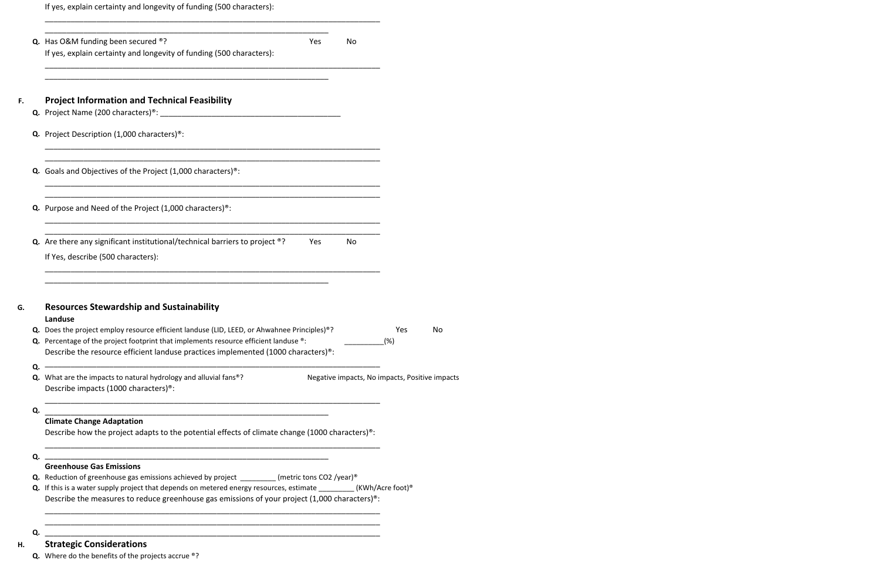**H.**

**Strategic Considerations**

**Q.** Where do the benefits of the projects accrue ®?

|    | If yes, explain certainty and longevity of funding (500 characters):                                                                                                                                                                                                                                                                                            |    |                                                |    |
|----|-----------------------------------------------------------------------------------------------------------------------------------------------------------------------------------------------------------------------------------------------------------------------------------------------------------------------------------------------------------------|----|------------------------------------------------|----|
|    | Q. Has O&M funding been secured ®?<br>Yes<br>If yes, explain certainty and longevity of funding (500 characters):                                                                                                                                                                                                                                               | No |                                                |    |
| F. | <b>Project Information and Technical Feasibility</b>                                                                                                                                                                                                                                                                                                            |    |                                                |    |
|    | Q. Project Description (1,000 characters) <sup>®</sup> :                                                                                                                                                                                                                                                                                                        |    |                                                |    |
|    | Q. Goals and Objectives of the Project (1,000 characters) <sup>®</sup> :                                                                                                                                                                                                                                                                                        |    |                                                |    |
|    | Q. Purpose and Need of the Project (1,000 characters) <sup>®</sup> :                                                                                                                                                                                                                                                                                            |    |                                                |    |
|    | <b>Q.</b> Are there any significant institutional/technical barriers to project $\circ$ ?<br>Yes<br>If Yes, describe (500 characters):                                                                                                                                                                                                                          | No |                                                |    |
| G. | <b>Resources Stewardship and Sustainability</b><br>Landuse                                                                                                                                                                                                                                                                                                      |    |                                                |    |
|    | Q. Does the project employ resource efficient landuse (LID, LEED, or Ahwahnee Principles)®?<br><b>Q.</b> Percentage of the project footprint that implements resource efficient landuse <sup>®</sup> :<br>Describe the resource efficient landuse practices implemented (1000 characters) <sup>®</sup> :                                                        |    | <b>Yes</b><br>(%)                              | No |
| Q. | Q. What are the impacts to natural hydrology and alluvial fans <sup>®</sup> ?<br>Describe impacts (1000 characters) <sup>®</sup> :                                                                                                                                                                                                                              |    | Negative impacts, No impacts, Positive impacts |    |
| Q. | <b>Climate Change Adaptation</b><br>Describe how the project adapts to the potential effects of climate change (1000 characters) <sup>®</sup> :                                                                                                                                                                                                                 |    |                                                |    |
| Q. | <b>Greenhouse Gas Emissions</b>                                                                                                                                                                                                                                                                                                                                 |    |                                                |    |
|    | <b>Q.</b> Reduction of greenhouse gas emissions achieved by project ________ (metric tons CO2 /year) <sup>®</sup><br>Q. If this is a water supply project that depends on metered energy resources, estimate ________(KWh/Acre foot) <sup>®</sup><br>Describe the measures to reduce greenhouse gas emissions of your project (1,000 characters) <sup>®</sup> : |    |                                                |    |
| Q. |                                                                                                                                                                                                                                                                                                                                                                 |    |                                                |    |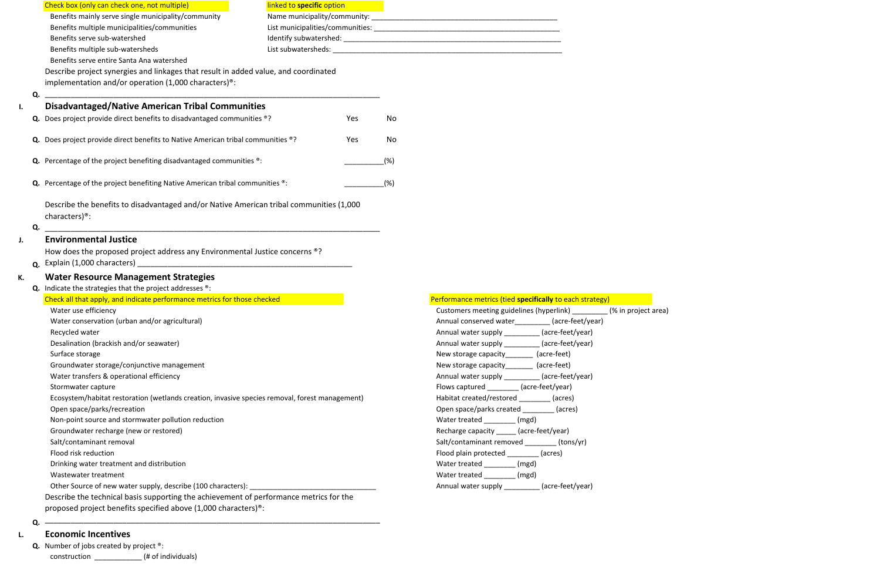|    | Check box (only can check one, not multiple)                                                            | linked to <b>specific</b> option |     |      |                                                          |                     |
|----|---------------------------------------------------------------------------------------------------------|----------------------------------|-----|------|----------------------------------------------------------|---------------------|
|    | Benefits mainly serve single municipality/community                                                     |                                  |     |      |                                                          |                     |
|    | Benefits multiple municipalities/communities                                                            |                                  |     |      |                                                          |                     |
|    | Benefits serve sub-watershed                                                                            |                                  |     |      |                                                          |                     |
|    | Benefits multiple sub-watersheds                                                                        |                                  |     |      |                                                          |                     |
|    | Benefits serve entire Santa Ana watershed                                                               |                                  |     |      |                                                          |                     |
|    | Describe project synergies and linkages that result in added value, and coordinated                     |                                  |     |      |                                                          |                     |
|    | implementation and/or operation (1,000 characters) <sup>®</sup> :                                       |                                  |     |      |                                                          |                     |
|    | Q.                                                                                                      |                                  |     |      |                                                          |                     |
|    | <b>Disadvantaged/Native American Tribal Communities</b>                                                 |                                  |     |      |                                                          |                     |
| I. |                                                                                                         |                                  |     |      |                                                          |                     |
|    | Does project provide direct benefits to disadvantaged communities ®?<br>Q.                              |                                  | Yes | No   |                                                          |                     |
|    | Q. Does project provide direct benefits to Native American tribal communities ®?                        |                                  | Yes | No   |                                                          |                     |
|    | Q. Percentage of the project benefiting disadvantaged communities ®:                                    |                                  |     | (%)  |                                                          |                     |
|    | Q. Percentage of the project benefiting Native American tribal communities ®:                           |                                  |     | (% ) |                                                          |                     |
|    |                                                                                                         |                                  |     |      |                                                          |                     |
|    | Describe the benefits to disadvantaged and/or Native American tribal communities (1,000                 |                                  |     |      |                                                          |                     |
|    | characters) <sup>®</sup> :<br>Q.                                                                        |                                  |     |      |                                                          |                     |
| J. | <b>Environmental Justice</b>                                                                            |                                  |     |      |                                                          |                     |
|    | How does the proposed project address any Environmental Justice concerns ®?                             |                                  |     |      |                                                          |                     |
|    | Q.                                                                                                      |                                  |     |      |                                                          |                     |
|    |                                                                                                         |                                  |     |      |                                                          |                     |
| К. | <b>Water Resource Management Strategies</b><br>Q. Indicate the strategies that the project addresses ®: |                                  |     |      |                                                          |                     |
|    | Check all that apply, and indicate performance metrics for those checked                                |                                  |     |      | Performance metrics (tied specifically to each strategy) |                     |
|    | Water use efficiency                                                                                    |                                  |     |      | Customers meeting guidelines (hyperlink)                 | (% in project area) |
|    | Water conservation (urban and/or agricultural)                                                          |                                  |     |      | Annual conserved water _________ (acre-feet/year)        |                     |
|    | Recycled water                                                                                          |                                  |     |      | Annual water supply _________ (acre-feet/year)           |                     |
|    | Desalination (brackish and/or seawater)                                                                 |                                  |     |      | Annual water supply __________ (acre-feet/year)          |                     |
|    | Surface storage                                                                                         |                                  |     |      | New storage capacity________ (acre-feet)                 |                     |
|    | Groundwater storage/conjunctive management                                                              |                                  |     |      | New storage capacity________ (acre-feet)                 |                     |
|    | Water transfers & operational efficiency                                                                |                                  |     |      | Annual water supply __________ (acre-feet/year)          |                     |
|    | Stormwater capture                                                                                      |                                  |     |      | Flows captured _________ (acre-feet/year)                |                     |
|    | Ecosystem/habitat restoration (wetlands creation, invasive species removal, forest management)          |                                  |     |      | Habitat created/restored _________ (acres)               |                     |
|    | Open space/parks/recreation                                                                             |                                  |     |      |                                                          |                     |
|    |                                                                                                         |                                  |     |      | Open space/parks created _________ (acres)               |                     |
|    | Non-point source and stormwater pollution reduction                                                     |                                  |     |      | Water treated (mgd)                                      |                     |
|    | Groundwater recharge (new or restored)                                                                  |                                  |     |      | Recharge capacity _____ (acre-feet/year)                 |                     |
|    | Salt/contaminant removal                                                                                |                                  |     |      | Salt/contaminant removed (tons/yr)                       |                     |
|    | Flood risk reduction                                                                                    |                                  |     |      | Flood plain protected __________ (acres)                 |                     |
|    | Drinking water treatment and distribution                                                               |                                  |     |      | Water treated _______ (mgd)                              |                     |
|    | Wastewater treatment                                                                                    |                                  |     |      | Water treated _________ (mgd)                            |                     |
|    | Other Source of new water supply, describe (100 characters): ___________________                        |                                  |     |      | Annual water supply _________ (acre-feet/year)           |                     |
|    | Describe the technical basis supporting the achievement of performance metrics for the                  |                                  |     |      |                                                          |                     |
|    | proposed project benefits specified above (1,000 characters) <sup>®</sup> :                             |                                  |     |      |                                                          |                     |
|    |                                                                                                         |                                  |     |      |                                                          |                     |

### **L.Economic Incentives**

**Q.** Number of jobs created by project ®: construction \_\_\_\_\_\_\_\_\_\_\_\_ (# of individuals)